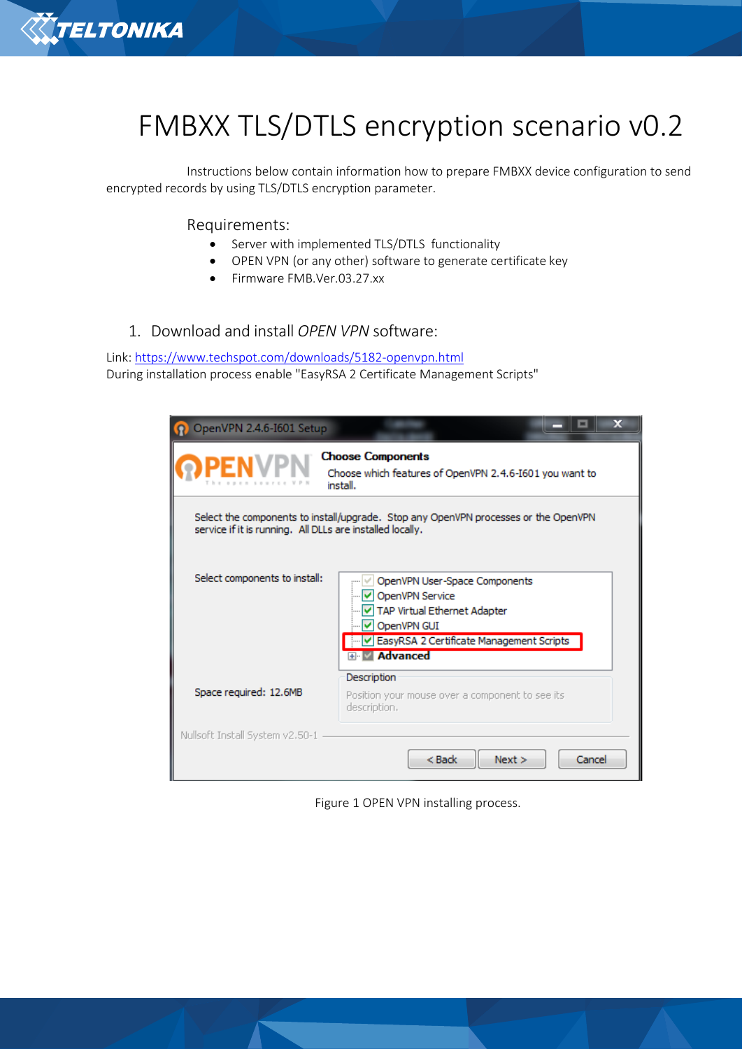

# FMBXX TLS/DTLS encryption scenario v0.2

Instructions below contain information how to prepare FMBXX device configuration to send encrypted records by using TLS/DTLS encryption parameter.

Requirements:

- Server with implemented TLS/DTLS functionality
- OPEN VPN (or any other) software to generate certificate key
- Firmware FMB.Ver.03.27.xx
- 1. Download and install *OPEN VPN* software:

Link:<https://www.techspot.com/downloads/5182-openvpn.html> During installation process enable "EasyRSA 2 Certificate Management Scripts"

| OpenVPN 2.4.6-1601 Setup                                                                                                                         |                                                                                                                                                                     |  |  |  |
|--------------------------------------------------------------------------------------------------------------------------------------------------|---------------------------------------------------------------------------------------------------------------------------------------------------------------------|--|--|--|
|                                                                                                                                                  | <b>Choose Components</b><br>Choose which features of OpenVPN 2.4.6-1601 you want to<br>install.                                                                     |  |  |  |
| Select the components to install/upgrade. Stop any OpenVPN processes or the OpenVPN<br>service if it is running. All DLLs are installed locally. |                                                                                                                                                                     |  |  |  |
| Select components to install:                                                                                                                    | OpenVPN User-Space Components<br>OpenVPN Service<br>TAP Virtual Ethernet Adapter<br>OpenVPN GUI<br>EasyRSA 2 Certificate Management Scripts<br><b>E</b> -V Advanced |  |  |  |
| Space required: 12.6MB                                                                                                                           | Description<br>Position your mouse over a component to see its<br>description.                                                                                      |  |  |  |
| Nullsoft Install System v2.50-1                                                                                                                  | $Back$<br>Cancel<br>Next                                                                                                                                            |  |  |  |

Figure 1 OPEN VPN installing process.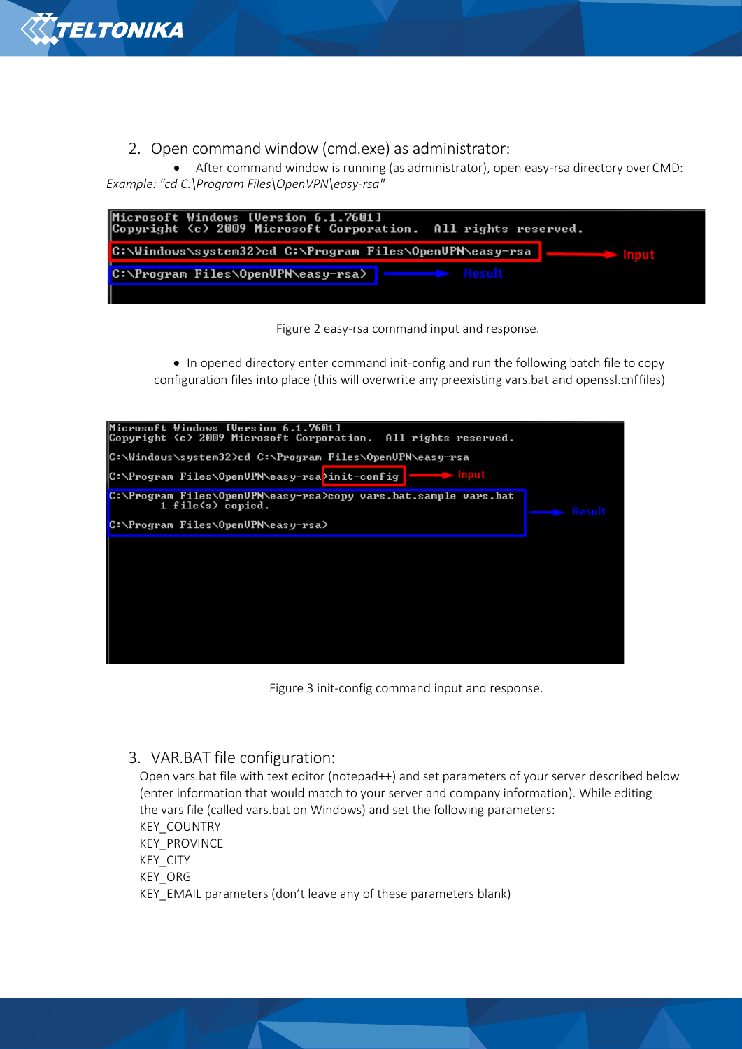

# 2. Open command window (cmd.exe) as administrator:

• After command window is running (as administrator), open easy-rsa directory overCMD: *Example: "cd C:\Program Files\OpenVPN\easy-rsa"* 

| Microsoft Windows IVersion 6.1.7601]<br>Copyright (c) 2009 Microsoft Corporation. All rights reserved. |  |  |  |  |
|--------------------------------------------------------------------------------------------------------|--|--|--|--|
| C:\Windows\system32>cd C:\Program Files\OpenUPN\easy-rsa                                               |  |  |  |  |
| Result<br> C:\Program Files\OpenUPN\easy-rsa>                                                          |  |  |  |  |
|                                                                                                        |  |  |  |  |

Figure 2 easy-rsa command input and response.

• In opened directory enter command init-config and run the following batch file to copy configuration files into place (this will overwrite any preexisting vars.bat and openssl.cnffiles)



Figure 3 init-config command input and response.

## 3. VAR.BAT file configuration:

Open vars.bat file with text editor (notepad++) and set parameters of your server described below (enter information that would match to your server and company information). While editing the vars file (called vars.bat on Windows) and set the following parameters: KEY\_COUNTRY KEY\_PROVINCE KEY\_CITY KEY\_ORG KEY\_EMAIL parameters (don't leave any of these parameters blank)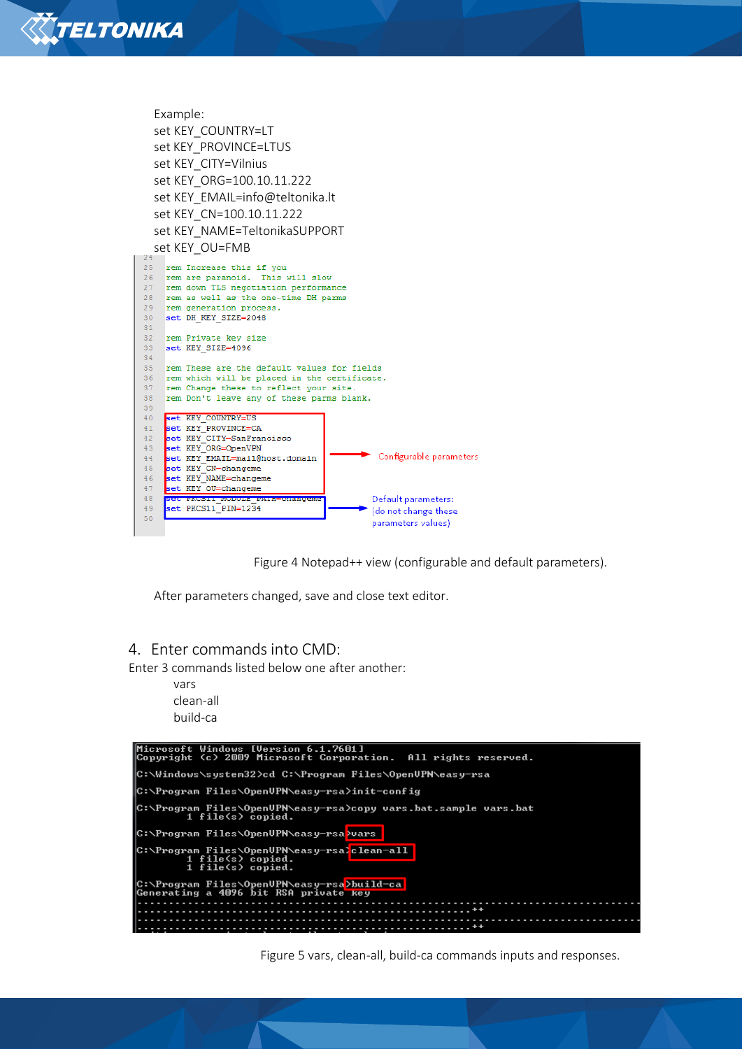

Example: set KEY\_COUNTRY=LT set KEY\_PROVINCE=LTUS set KEY\_CITY=Vilnius set KEY\_ORG=100.10.11.222 se[t KEY\\_EMAIL=info@teltonika.lt](mailto:KEY_EMAIL%3Dinfo@teltonika.lt) set KEY\_CN=100.10.11.222 set KEY\_NAME=TeltonikaSUPPORT set KEY\_OU=FMB rem Increase this if you 25  $26$ rem are paranoid. This will slow 27 rem down TLS negotiation performance 28 rem as well as the one-time DH parms rem generation process. 29 30 set DH\_KEY\_SIZE=2048  $31$ rem Private key size  $32$ set KEY\_SIZE=4096 33 34 35 rem These are the default values for fields rem which will be placed in the certificate. 36 rem Change these to reflect your site. 37 38 rem Don't leave any of these parms blank.  $39$ set KEY\_COUNTRY=US<br>set KEY\_PROVINCE=CA  $40$  $41$ set KEY\_CITY=SanFrancisco<br>set KEY\_CITY=SanFrancisco<br>set KEY\_ORG=OpenVPN  $42$  $43$ set KEY\_EMAIL=mail@host.domain Configurable parameters  $44$ set KEY\_CN=changeme<br>set KEY\_NAME=changeme  $45$  $46$ set KEY OU=changeme  $47$ set PACSII MODULE PAIR<br>set PKCS11 PIN=1234 48 Default parameters: **CHARLES CHARLES** 49 (do not change these 50 parameters values)



After parameters changed, save and close text editor.

#### 4. Enter commands into CMD:

Enter 3 commands listed below one after another:

vars clean-all build-ca



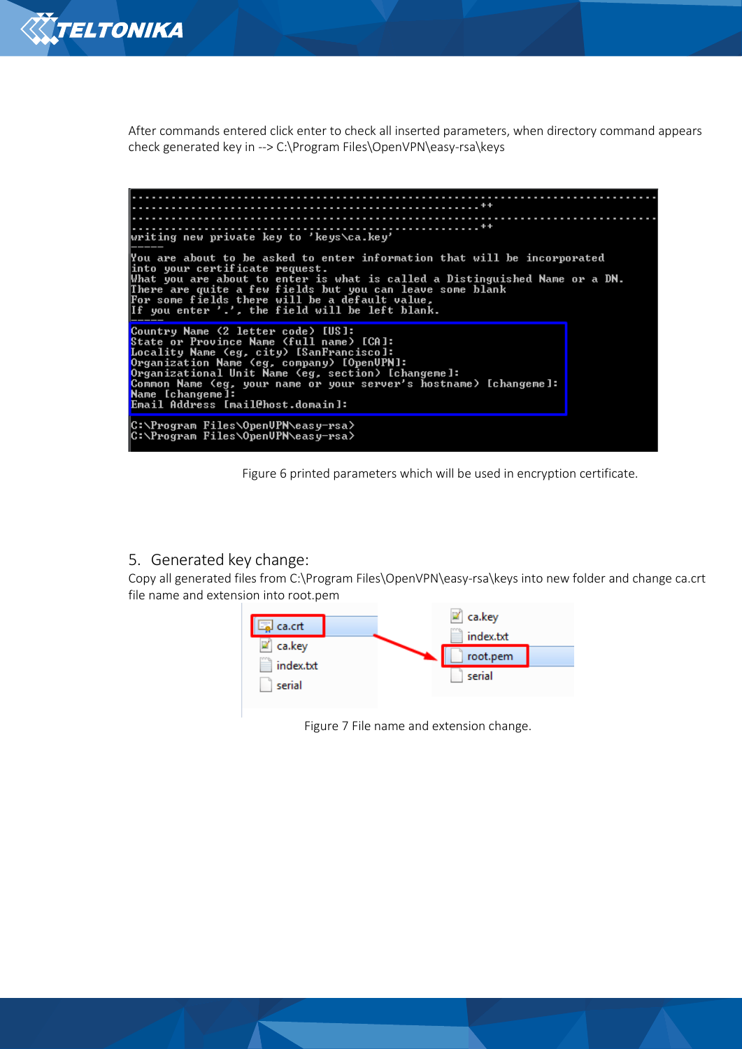

After commands entered click enter to check all inserted parameters, when directory command appears check generated key in --> C:\Program Files\OpenVPN\easy-rsa\keys



Figure 6 printed parameters which will be used in encryption certificate.

#### 5. Generated key change:

Copy all generated files from C:\Program Files\OpenVPN\easy-rsa\keys into new folder and change ca.crt file name and extension into root.pem



Figure 7 File name and extension change.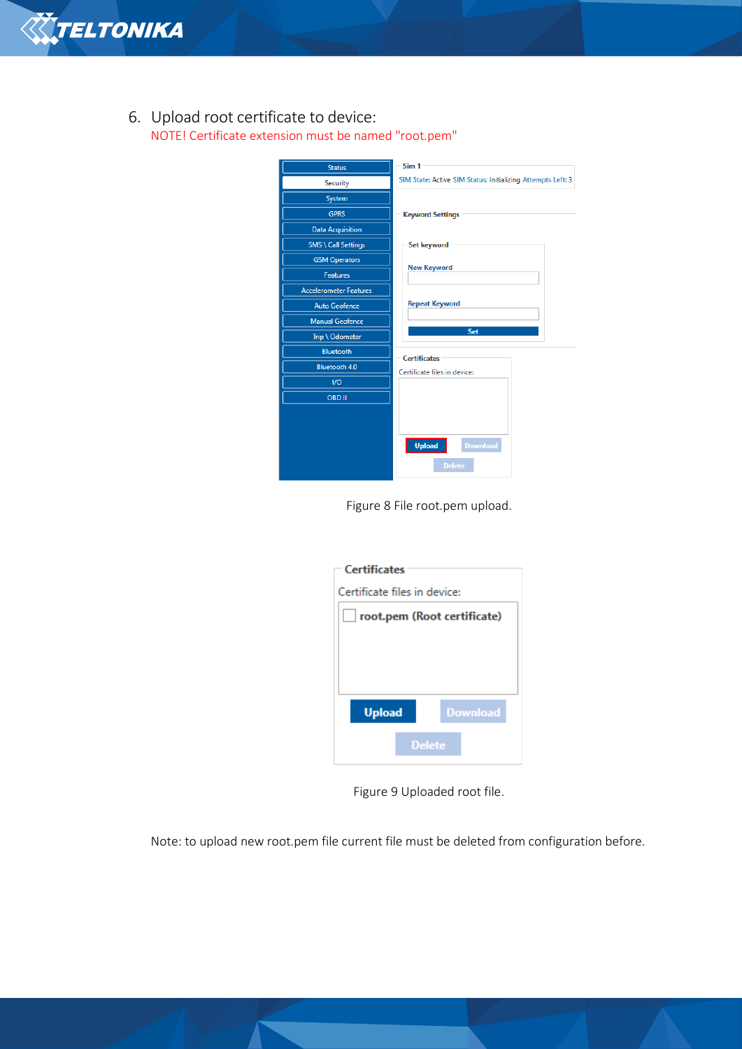

# 6. Upload root certificate to device: NOTE! Certificate extension must be named "root.pem"

| <b>Status</b>                 | Sim <sub>1</sub>                                            |  |
|-------------------------------|-------------------------------------------------------------|--|
| Security                      | SIM State: Active SIM Status: Initializing Attempts Left: 3 |  |
| System                        |                                                             |  |
| <b>GPRS</b>                   | <b>Keyword Settings</b>                                     |  |
| <b>Data Acquisition</b>       |                                                             |  |
| <b>SMS \ Call Settings</b>    | Set keyword                                                 |  |
| <b>GSM Operators</b>          |                                                             |  |
| <b>Features</b>               | <b>New Keyword</b>                                          |  |
| <b>Accelerometer Features</b> |                                                             |  |
| <b>Auto Geofence</b>          | <b>Repeat Keyword</b>                                       |  |
| <b>Manual Geofence</b>        |                                                             |  |
| Trip \ Odometer               | Set                                                         |  |
| <b>Bluetooth</b>              | <b>Certificates</b>                                         |  |
| <b>Bluetooth 4.0</b>          | Certificate files in device:                                |  |
| $1$                           |                                                             |  |
| <b>OBD II</b>                 |                                                             |  |
|                               |                                                             |  |
|                               |                                                             |  |
|                               | <b>Upload</b><br><b>Download</b>                            |  |
|                               | <b>Delete</b>                                               |  |

Figure 8 File root.pem upload.

| <b>Certificates</b>                |  |  |
|------------------------------------|--|--|
| Certificate files in device:       |  |  |
| $\Box$ root.pem (Root certificate) |  |  |
|                                    |  |  |
|                                    |  |  |
|                                    |  |  |
|                                    |  |  |
| <b>Download</b><br><b>Upload</b>   |  |  |
|                                    |  |  |
| <b>Delete</b>                      |  |  |

Figure 9 Uploaded root file.

Note: to upload new root.pem file current file must be deleted from configuration before.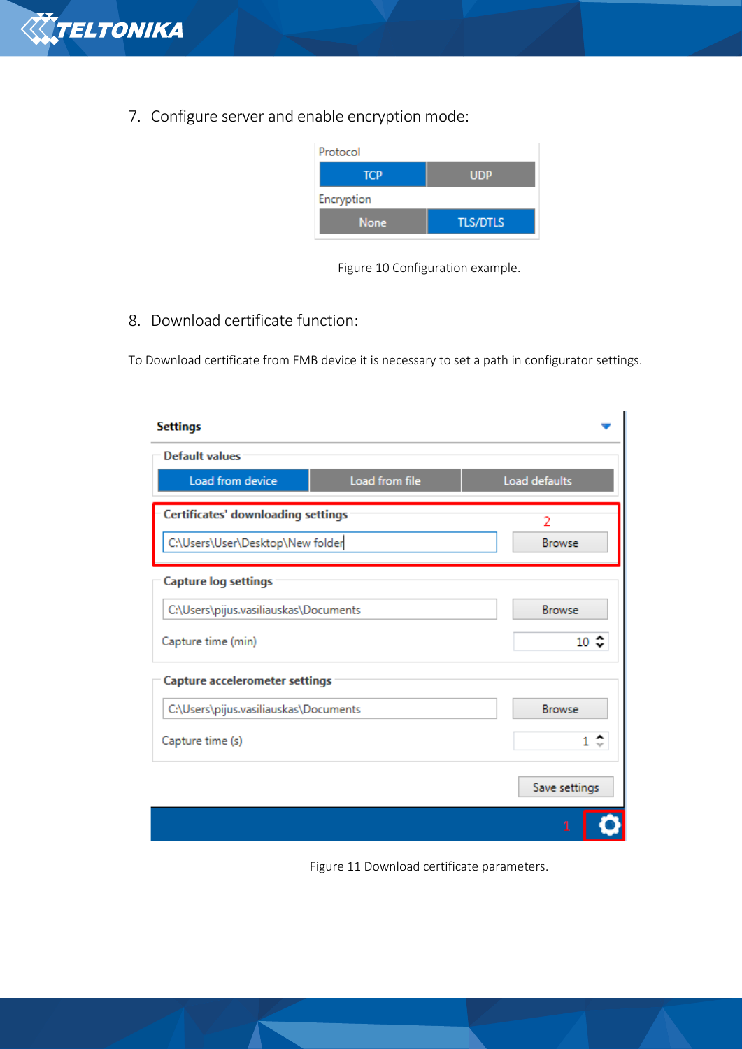

7. Configure server and enable encryption mode:



Figure 10 Configuration example.

# 8. Download certificate function:

To Download certificate from FMB device it is necessary to set a path in configurator settings.

| <b>Settings</b>                                   |                |                         |  |
|---------------------------------------------------|----------------|-------------------------|--|
| <b>Default values</b>                             |                |                         |  |
| Load from device                                  | Load from file | Load defaults           |  |
| <b>Certificates' downloading settings</b>         |                | $\overline{\mathbf{c}}$ |  |
| C:\Users\User\Desktop\New folder<br><b>Browse</b> |                |                         |  |
| <b>Capture log settings</b>                       |                |                         |  |
| C:\Users\pijus.vasiliauskas\Documents             |                | <b>Browse</b>           |  |
| Capture time (min)                                | 10<            |                         |  |
| <b>Capture accelerometer settings</b>             |                |                         |  |
| C:\Users\pijus.vasiliauskas\Documents             |                | <b>Browse</b>           |  |
| $1 \div$<br>Capture time (s)                      |                |                         |  |
|                                                   |                | Save settings           |  |
|                                                   |                | 1                       |  |

Figure 11 Download certificate parameters.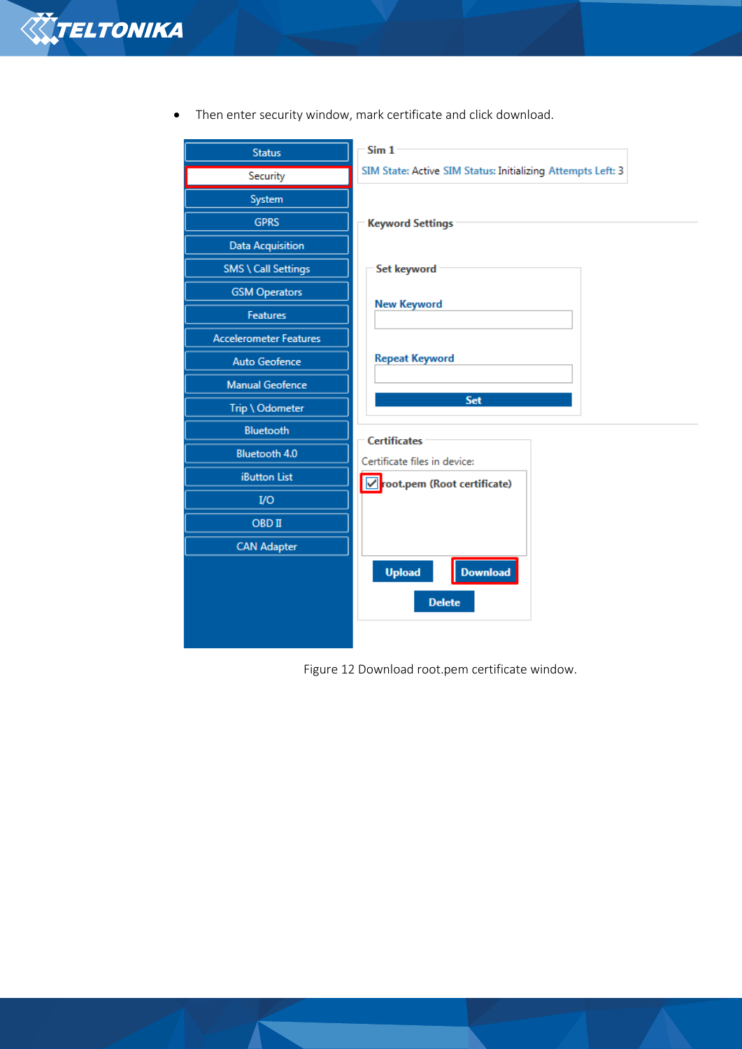

| <b>Status</b>                 | Sim 1                                                       |  |
|-------------------------------|-------------------------------------------------------------|--|
| Security                      | SIM State: Active SIM Status: Initializing Attempts Left: 3 |  |
| System                        |                                                             |  |
| <b>GPRS</b>                   | <b>Keyword Settings</b>                                     |  |
| <b>Data Acquisition</b>       |                                                             |  |
| <b>SMS \ Call Settings</b>    | <b>Set keyword</b>                                          |  |
| <b>GSM Operators</b>          |                                                             |  |
| <b>Features</b>               | <b>New Keyword</b>                                          |  |
| <b>Accelerometer Features</b> |                                                             |  |
| <b>Auto Geofence</b>          | <b>Repeat Keyword</b>                                       |  |
| <b>Manual Geofence</b>        |                                                             |  |
| Trip \ Odometer               | Set                                                         |  |
| <b>Bluetooth</b>              | <b>Certificates</b>                                         |  |
| Bluetooth 4.0                 | Certificate files in device:                                |  |
| <b>iButton List</b>           | ☑ root.pem (Root certificate)                               |  |
| <b>I/O</b>                    |                                                             |  |
| <b>OBD II</b>                 |                                                             |  |
| <b>CAN Adapter</b>            |                                                             |  |
|                               | <b>Upload</b><br><b>Download</b>                            |  |
|                               | <b>Delete</b>                                               |  |
|                               |                                                             |  |
|                               |                                                             |  |

• Then enter security window, mark certificate and click download.

Figure 12 Download root.pem certificate window.